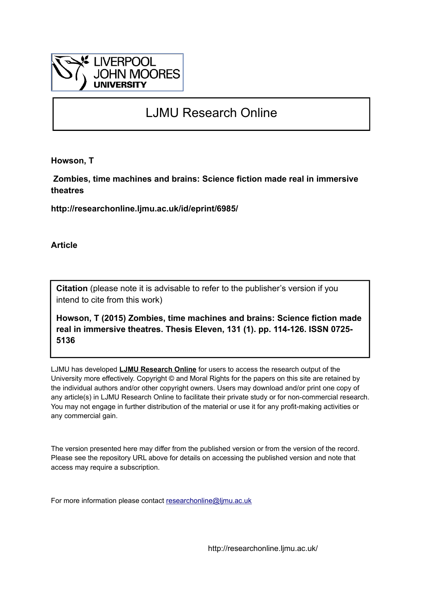

# LJMU Research Online

**Howson, T**

 **Zombies, time machines and brains: Science fiction made real in immersive theatres**

**http://researchonline.ljmu.ac.uk/id/eprint/6985/**

**Article**

**Citation** (please note it is advisable to refer to the publisher's version if you intend to cite from this work)

**Howson, T (2015) Zombies, time machines and brains: Science fiction made real in immersive theatres. Thesis Eleven, 131 (1). pp. 114-126. ISSN 0725- 5136** 

LJMU has developed **[LJMU Research Online](http://researchonline.ljmu.ac.uk/)** for users to access the research output of the University more effectively. Copyright © and Moral Rights for the papers on this site are retained by the individual authors and/or other copyright owners. Users may download and/or print one copy of any article(s) in LJMU Research Online to facilitate their private study or for non-commercial research. You may not engage in further distribution of the material or use it for any profit-making activities or any commercial gain.

The version presented here may differ from the published version or from the version of the record. Please see the repository URL above for details on accessing the published version and note that access may require a subscription.

For more information please contact [researchonline@ljmu.ac.uk](mailto:researchonline@ljmu.ac.uk)

http://researchonline.ljmu.ac.uk/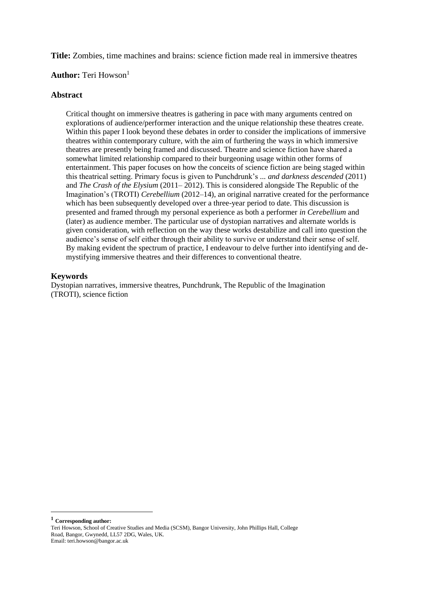**Title:** Zombies, time machines and brains: science fiction made real in immersive theatres

## **Author: Teri Howson**<sup>1</sup>

#### **Abstract**

Critical thought on immersive theatres is gathering in pace with many arguments centred on explorations of audience/performer interaction and the unique relationship these theatres create. Within this paper I look beyond these debates in order to consider the implications of immersive theatres within contemporary culture, with the aim of furthering the ways in which immersive theatres are presently being framed and discussed. Theatre and science fiction have shared a somewhat limited relationship compared to their burgeoning usage within other forms of entertainment. This paper focuses on how the conceits of science fiction are being staged within this theatrical setting. Primary focus is given to Punchdrunk's *... and darkness descended* (2011) and *The Crash of the Elysium* (2011– 2012). This is considered alongside The Republic of the Imagination's (TROTI) *Cerebellium* (2012–14), an original narrative created for the performance which has been subsequently developed over a three-year period to date. This discussion is presented and framed through my personal experience as both a performer *in Cerebellium* and (later) as audience member. The particular use of dystopian narratives and alternate worlds is given consideration, with reflection on the way these works destabilize and call into question the audience's sense of self either through their ability to survive or understand their sense of self. By making evident the spectrum of practice, I endeavour to delve further into identifying and demystifying immersive theatres and their differences to conventional theatre.

## **Keywords**

Dystopian narratives, immersive theatres, Punchdrunk, The Republic of the Imagination (TROTI), science fiction

**<sup>1</sup> Corresponding author:**

1

Teri Howson, School of Creative Studies and Media (SCSM), Bangor University, John Phillips Hall, College Road, Bangor, Gwynedd, LL57 2DG, Wales, UK. Email: teri.howson@bangor.ac.uk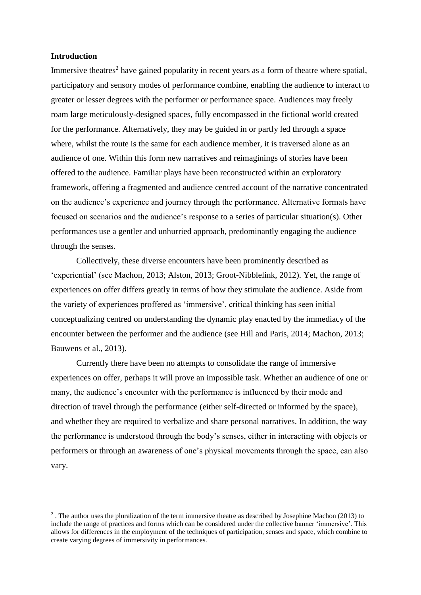## **Introduction**

**.** 

Immersive theatres<sup>2</sup> have gained popularity in recent years as a form of theatre where spatial, participatory and sensory modes of performance combine, enabling the audience to interact to greater or lesser degrees with the performer or performance space. Audiences may freely roam large meticulously-designed spaces, fully encompassed in the fictional world created for the performance. Alternatively, they may be guided in or partly led through a space where, whilst the route is the same for each audience member, it is traversed alone as an audience of one. Within this form new narratives and reimaginings of stories have been offered to the audience. Familiar plays have been reconstructed within an exploratory framework, offering a fragmented and audience centred account of the narrative concentrated on the audience's experience and journey through the performance. Alternative formats have focused on scenarios and the audience's response to a series of particular situation(s). Other performances use a gentler and unhurried approach, predominantly engaging the audience through the senses.

Collectively, these diverse encounters have been prominently described as 'experiential' (see Machon, 2013; Alston, 2013; Groot-Nibblelink, 2012). Yet, the range of experiences on offer differs greatly in terms of how they stimulate the audience. Aside from the variety of experiences proffered as 'immersive', critical thinking has seen initial conceptualizing centred on understanding the dynamic play enacted by the immediacy of the encounter between the performer and the audience (see Hill and Paris, 2014; Machon, 2013; Bauwens et al., 2013).

Currently there have been no attempts to consolidate the range of immersive experiences on offer, perhaps it will prove an impossible task. Whether an audience of one or many, the audience's encounter with the performance is influenced by their mode and direction of travel through the performance (either self-directed or informed by the space), and whether they are required to verbalize and share personal narratives. In addition, the way the performance is understood through the body's senses, either in interacting with objects or performers or through an awareness of one's physical movements through the space, can also vary.

<sup>&</sup>lt;sup>2</sup>. The author uses the pluralization of the term immersive theatre as described by Josephine Machon (2013) to include the range of practices and forms which can be considered under the collective banner 'immersive'. This allows for differences in the employment of the techniques of participation, senses and space, which combine to create varying degrees of immersivity in performances.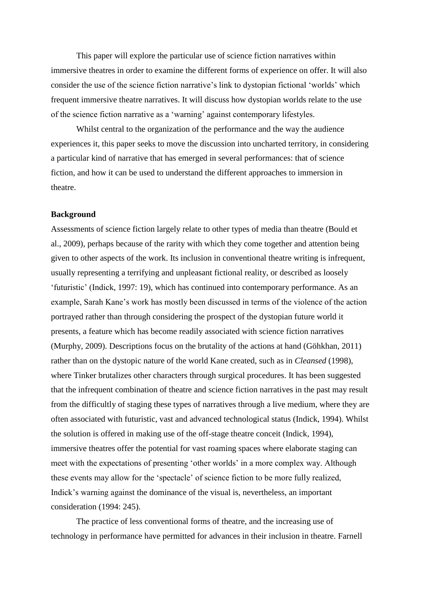This paper will explore the particular use of science fiction narratives within immersive theatres in order to examine the different forms of experience on offer. It will also consider the use of the science fiction narrative's link to dystopian fictional 'worlds' which frequent immersive theatre narratives. It will discuss how dystopian worlds relate to the use of the science fiction narrative as a 'warning' against contemporary lifestyles.

Whilst central to the organization of the performance and the way the audience experiences it, this paper seeks to move the discussion into uncharted territory, in considering a particular kind of narrative that has emerged in several performances: that of science fiction, and how it can be used to understand the different approaches to immersion in theatre.

## **Background**

Assessments of science fiction largely relate to other types of media than theatre (Bould et al., 2009), perhaps because of the rarity with which they come together and attention being given to other aspects of the work. Its inclusion in conventional theatre writing is infrequent, usually representing a terrifying and unpleasant fictional reality, or described as loosely 'futuristic' (Indick, 1997: 19), which has continued into contemporary performance. As an example, Sarah Kane's work has mostly been discussed in terms of the violence of the action portrayed rather than through considering the prospect of the dystopian future world it presents, a feature which has become readily associated with science fiction narratives (Murphy, 2009). Descriptions focus on the brutality of the actions at hand (Göhkhan, 2011) rather than on the dystopic nature of the world Kane created, such as in *Cleansed* (1998), where Tinker brutalizes other characters through surgical procedures. It has been suggested that the infrequent combination of theatre and science fiction narratives in the past may result from the difficultly of staging these types of narratives through a live medium, where they are often associated with futuristic, vast and advanced technological status (Indick, 1994). Whilst the solution is offered in making use of the off-stage theatre conceit (Indick, 1994), immersive theatres offer the potential for vast roaming spaces where elaborate staging can meet with the expectations of presenting 'other worlds' in a more complex way. Although these events may allow for the 'spectacle' of science fiction to be more fully realized, Indick's warning against the dominance of the visual is, nevertheless, an important consideration (1994: 245).

The practice of less conventional forms of theatre, and the increasing use of technology in performance have permitted for advances in their inclusion in theatre. Farnell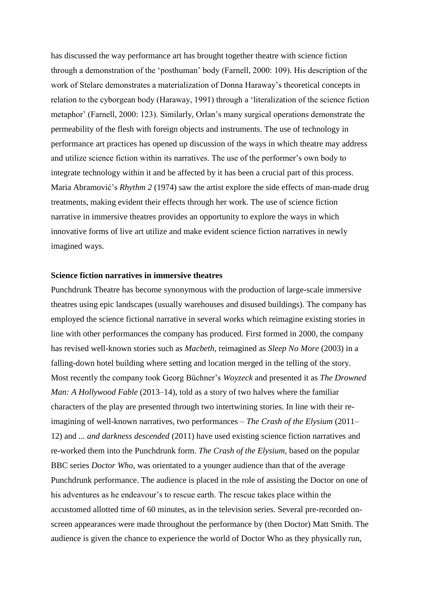has discussed the way performance art has brought together theatre with science fiction through a demonstration of the 'posthuman' body (Farnell, 2000: 109). His description of the work of Stelarc demonstrates a materialization of Donna Haraway's theoretical concepts in relation to the cyborgean body (Haraway, 1991) through a 'literalization of the science fiction metaphor' (Farnell, 2000: 123). Similarly, Orlan's many surgical operations demonstrate the permeability of the flesh with foreign objects and instruments. The use of technology in performance art practices has opened up discussion of the ways in which theatre may address and utilize science fiction within its narratives. The use of the performer's own body to integrate technology within it and be affected by it has been a crucial part of this process. Maria Abramović's *Rhythm 2* (1974) saw the artist explore the side effects of man-made drug treatments, making evident their effects through her work. The use of science fiction narrative in immersive theatres provides an opportunity to explore the ways in which innovative forms of live art utilize and make evident science fiction narratives in newly imagined ways.

# **Science fiction narratives in immersive theatres**

Punchdrunk Theatre has become synonymous with the production of large-scale immersive theatres using epic landscapes (usually warehouses and disused buildings). The company has employed the science fictional narrative in several works which reimagine existing stories in line with other performances the company has produced. First formed in 2000, the company has revised well-known stories such as *Macbeth*, reimagined as *Sleep No More* (2003) in a falling-down hotel building where setting and location merged in the telling of the story. Most recently the company took Georg Büchner's *Woyzeck* and presented it as *The Drowned Man: A Hollywood Fable* (2013–14), told as a story of two halves where the familiar characters of the play are presented through two intertwining stories. In line with their reimagining of well-known narratives, two performances – *The Crash of the Elysium* (2011– 12) and *... and darkness descended* (2011) have used existing science fiction narratives and re-worked them into the Punchdrunk form. *The Crash of the Elysium*, based on the popular BBC series *Doctor Who*, was orientated to a younger audience than that of the average Punchdrunk performance. The audience is placed in the role of assisting the Doctor on one of his adventures as he endeavour's to rescue earth. The rescue takes place within the accustomed allotted time of 60 minutes, as in the television series. Several pre-recorded onscreen appearances were made throughout the performance by (then Doctor) Matt Smith. The audience is given the chance to experience the world of Doctor Who as they physically run,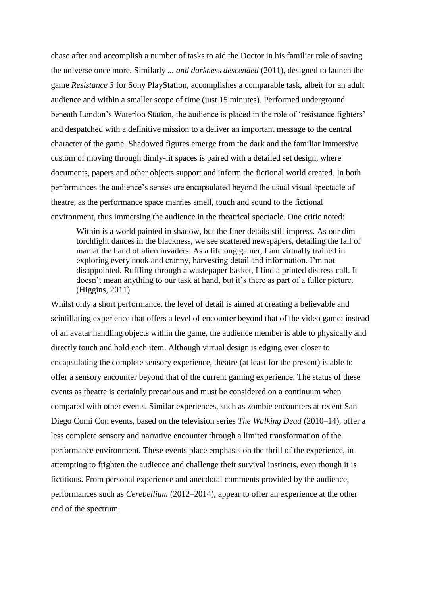chase after and accomplish a number of tasks to aid the Doctor in his familiar role of saving the universe once more. Similarly *... and darkness descended* (2011), designed to launch the game *Resistance 3* for Sony PlayStation, accomplishes a comparable task, albeit for an adult audience and within a smaller scope of time (just 15 minutes). Performed underground beneath London's Waterloo Station, the audience is placed in the role of 'resistance fighters' and despatched with a definitive mission to a deliver an important message to the central character of the game. Shadowed figures emerge from the dark and the familiar immersive custom of moving through dimly-lit spaces is paired with a detailed set design, where documents, papers and other objects support and inform the fictional world created. In both performances the audience's senses are encapsulated beyond the usual visual spectacle of theatre, as the performance space marries smell, touch and sound to the fictional environment, thus immersing the audience in the theatrical spectacle. One critic noted:

Within is a world painted in shadow, but the finer details still impress. As our dim torchlight dances in the blackness, we see scattered newspapers, detailing the fall of man at the hand of alien invaders. As a lifelong gamer, I am virtually trained in exploring every nook and cranny, harvesting detail and information. I'm not disappointed. Ruffling through a wastepaper basket, I find a printed distress call. It doesn't mean anything to our task at hand, but it's there as part of a fuller picture. (Higgins, 2011)

Whilst only a short performance, the level of detail is aimed at creating a believable and scintillating experience that offers a level of encounter beyond that of the video game: instead of an avatar handling objects within the game, the audience member is able to physically and directly touch and hold each item. Although virtual design is edging ever closer to encapsulating the complete sensory experience, theatre (at least for the present) is able to offer a sensory encounter beyond that of the current gaming experience. The status of these events as theatre is certainly precarious and must be considered on a continuum when compared with other events. Similar experiences, such as zombie encounters at recent San Diego Comi Con events, based on the television series *The Walking Dead* (2010–14), offer a less complete sensory and narrative encounter through a limited transformation of the performance environment. These events place emphasis on the thrill of the experience, in attempting to frighten the audience and challenge their survival instincts, even though it is fictitious. From personal experience and anecdotal comments provided by the audience, performances such as *Cerebellium* (2012–2014), appear to offer an experience at the other end of the spectrum.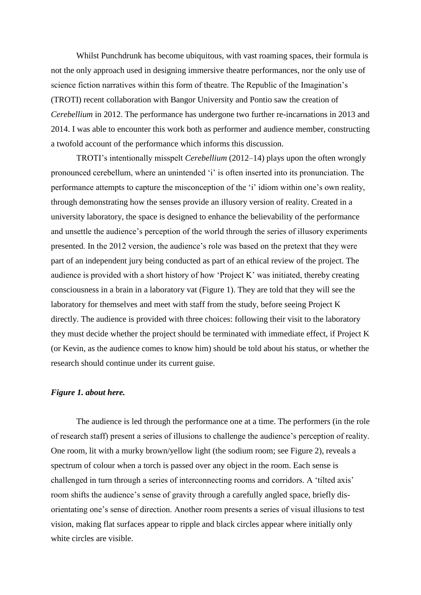Whilst Punchdrunk has become ubiquitous, with vast roaming spaces, their formula is not the only approach used in designing immersive theatre performances, nor the only use of science fiction narratives within this form of theatre. The Republic of the Imagination's (TROTI) recent collaboration with Bangor University and Pontio saw the creation of *Cerebellium* in 2012. The performance has undergone two further re-incarnations in 2013 and 2014. I was able to encounter this work both as performer and audience member, constructing a twofold account of the performance which informs this discussion.

TROTI's intentionally misspelt *Cerebellium* (2012–14) plays upon the often wrongly pronounced cerebellum, where an unintended 'i' is often inserted into its pronunciation. The performance attempts to capture the misconception of the 'i' idiom within one's own reality, through demonstrating how the senses provide an illusory version of reality. Created in a university laboratory, the space is designed to enhance the believability of the performance and unsettle the audience's perception of the world through the series of illusory experiments presented. In the 2012 version, the audience's role was based on the pretext that they were part of an independent jury being conducted as part of an ethical review of the project. The audience is provided with a short history of how 'Project K' was initiated, thereby creating consciousness in a brain in a laboratory vat (Figure 1). They are told that they will see the laboratory for themselves and meet with staff from the study, before seeing Project K directly. The audience is provided with three choices: following their visit to the laboratory they must decide whether the project should be terminated with immediate effect, if Project K (or Kevin, as the audience comes to know him) should be told about his status, or whether the research should continue under its current guise.

## *Figure 1. about here.*

The audience is led through the performance one at a time. The performers (in the role of research staff) present a series of illusions to challenge the audience's perception of reality. One room, lit with a murky brown/yellow light (the sodium room; see Figure 2), reveals a spectrum of colour when a torch is passed over any object in the room. Each sense is challenged in turn through a series of interconnecting rooms and corridors. A 'tilted axis' room shifts the audience's sense of gravity through a carefully angled space, briefly disorientating one's sense of direction. Another room presents a series of visual illusions to test vision, making flat surfaces appear to ripple and black circles appear where initially only white circles are visible.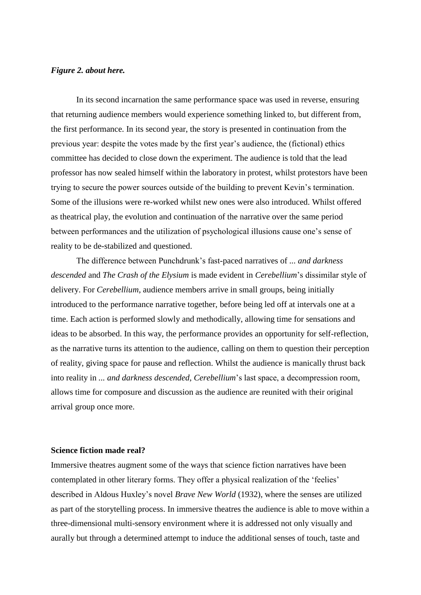## *Figure 2. about here.*

In its second incarnation the same performance space was used in reverse, ensuring that returning audience members would experience something linked to, but different from, the first performance. In its second year, the story is presented in continuation from the previous year: despite the votes made by the first year's audience, the (fictional) ethics committee has decided to close down the experiment. The audience is told that the lead professor has now sealed himself within the laboratory in protest, whilst protestors have been trying to secure the power sources outside of the building to prevent Kevin's termination. Some of the illusions were re-worked whilst new ones were also introduced. Whilst offered as theatrical play, the evolution and continuation of the narrative over the same period between performances and the utilization of psychological illusions cause one's sense of reality to be de-stabilized and questioned.

The difference between Punchdrunk's fast-paced narratives of *... and darkness descended* and *The Crash of the Elysium* is made evident in *Cerebellium*'s dissimilar style of delivery. For *Cerebellium*, audience members arrive in small groups, being initially introduced to the performance narrative together, before being led off at intervals one at a time. Each action is performed slowly and methodically, allowing time for sensations and ideas to be absorbed. In this way, the performance provides an opportunity for self-reflection, as the narrative turns its attention to the audience, calling on them to question their perception of reality, giving space for pause and reflection. Whilst the audience is manically thrust back into reality in *... and darkness descended*, *Cerebellium*'s last space, a decompression room, allows time for composure and discussion as the audience are reunited with their original arrival group once more.

#### **Science fiction made real?**

Immersive theatres augment some of the ways that science fiction narratives have been contemplated in other literary forms. They offer a physical realization of the 'feelies' described in Aldous Huxley's novel *Brave New World* (1932), where the senses are utilized as part of the storytelling process. In immersive theatres the audience is able to move within a three-dimensional multi-sensory environment where it is addressed not only visually and aurally but through a determined attempt to induce the additional senses of touch, taste and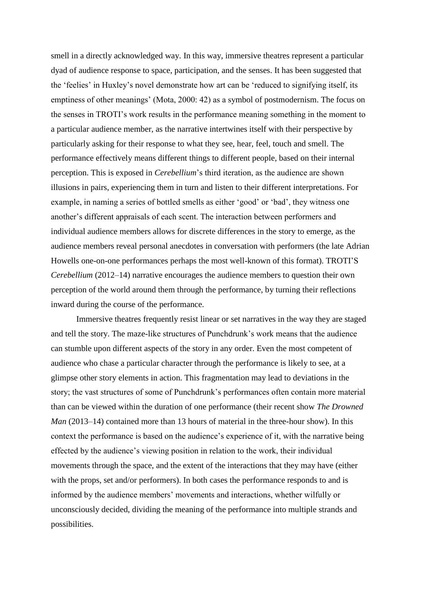smell in a directly acknowledged way. In this way, immersive theatres represent a particular dyad of audience response to space, participation, and the senses. It has been suggested that the 'feelies' in Huxley's novel demonstrate how art can be 'reduced to signifying itself, its emptiness of other meanings' (Mota, 2000: 42) as a symbol of postmodernism. The focus on the senses in TROTI's work results in the performance meaning something in the moment to a particular audience member, as the narrative intertwines itself with their perspective by particularly asking for their response to what they see, hear, feel, touch and smell. The performance effectively means different things to different people, based on their internal perception. This is exposed in *Cerebellium*'s third iteration, as the audience are shown illusions in pairs, experiencing them in turn and listen to their different interpretations. For example, in naming a series of bottled smells as either 'good' or 'bad', they witness one another's different appraisals of each scent. The interaction between performers and individual audience members allows for discrete differences in the story to emerge, as the audience members reveal personal anecdotes in conversation with performers (the late Adrian Howells one-on-one performances perhaps the most well-known of this format). TROTI'S *Cerebellium* (2012–14) narrative encourages the audience members to question their own perception of the world around them through the performance, by turning their reflections inward during the course of the performance.

Immersive theatres frequently resist linear or set narratives in the way they are staged and tell the story. The maze-like structures of Punchdrunk's work means that the audience can stumble upon different aspects of the story in any order. Even the most competent of audience who chase a particular character through the performance is likely to see, at a glimpse other story elements in action. This fragmentation may lead to deviations in the story; the vast structures of some of Punchdrunk's performances often contain more material than can be viewed within the duration of one performance (their recent show *The Drowned Man* (2013–14) contained more than 13 hours of material in the three-hour show). In this context the performance is based on the audience's experience of it, with the narrative being effected by the audience's viewing position in relation to the work, their individual movements through the space, and the extent of the interactions that they may have (either with the props, set and/or performers). In both cases the performance responds to and is informed by the audience members' movements and interactions, whether wilfully or unconsciously decided, dividing the meaning of the performance into multiple strands and possibilities.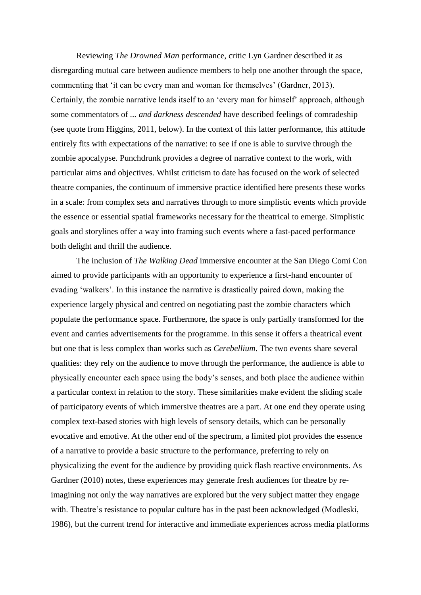Reviewing *The Drowned Man* performance, critic Lyn Gardner described it as disregarding mutual care between audience members to help one another through the space, commenting that 'it can be every man and woman for themselves' (Gardner, 2013). Certainly, the zombie narrative lends itself to an 'every man for himself' approach, although some commentators of *... and darkness descended* have described feelings of comradeship (see quote from Higgins, 2011, below). In the context of this latter performance, this attitude entirely fits with expectations of the narrative: to see if one is able to survive through the zombie apocalypse. Punchdrunk provides a degree of narrative context to the work, with particular aims and objectives. Whilst criticism to date has focused on the work of selected theatre companies, the continuum of immersive practice identified here presents these works in a scale: from complex sets and narratives through to more simplistic events which provide the essence or essential spatial frameworks necessary for the theatrical to emerge. Simplistic goals and storylines offer a way into framing such events where a fast-paced performance both delight and thrill the audience.

The inclusion of *The Walking Dead* immersive encounter at the San Diego Comi Con aimed to provide participants with an opportunity to experience a first-hand encounter of evading 'walkers'. In this instance the narrative is drastically paired down, making the experience largely physical and centred on negotiating past the zombie characters which populate the performance space. Furthermore, the space is only partially transformed for the event and carries advertisements for the programme. In this sense it offers a theatrical event but one that is less complex than works such as *Cerebellium*. The two events share several qualities: they rely on the audience to move through the performance, the audience is able to physically encounter each space using the body's senses, and both place the audience within a particular context in relation to the story. These similarities make evident the sliding scale of participatory events of which immersive theatres are a part. At one end they operate using complex text-based stories with high levels of sensory details, which can be personally evocative and emotive. At the other end of the spectrum, a limited plot provides the essence of a narrative to provide a basic structure to the performance, preferring to rely on physicalizing the event for the audience by providing quick flash reactive environments. As Gardner (2010) notes, these experiences may generate fresh audiences for theatre by reimagining not only the way narratives are explored but the very subject matter they engage with. Theatre's resistance to popular culture has in the past been acknowledged (Modleski, 1986), but the current trend for interactive and immediate experiences across media platforms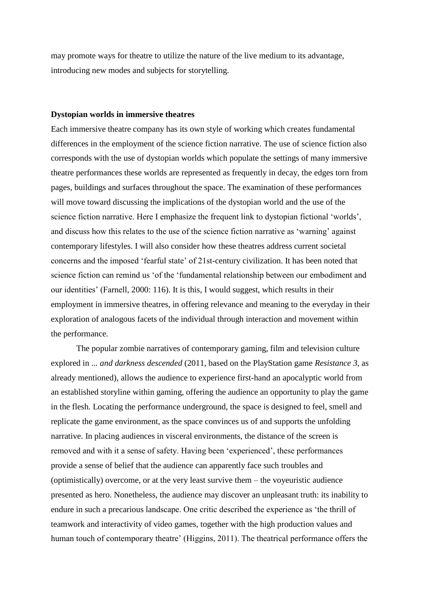may promote ways for theatre to utilize the nature of the live medium to its advantage, introducing new modes and subjects for storytelling.

### **Dystopian worlds in immersive theatres**

Each immersive theatre company has its own style of working which creates fundamental differences in the employment of the science fiction narrative. The use of science fiction also corresponds with the use of dystopian worlds which populate the settings of many immersive theatre performances these worlds are represented as frequently in decay, the edges torn from pages, buildings and surfaces throughout the space. The examination of these performances will move toward discussing the implications of the dystopian world and the use of the science fiction narrative. Here I emphasize the frequent link to dystopian fictional 'worlds', and discuss how this relates to the use of the science fiction narrative as 'warning' against contemporary lifestyles. I will also consider how these theatres address current societal concerns and the imposed 'fearful state' of 21st-century civilization. It has been noted that science fiction can remind us 'of the 'fundamental relationship between our embodiment and our identities' (Farnell, 2000: 116). It is this, I would suggest, which results in their employment in immersive theatres, in offering relevance and meaning to the everyday in their exploration of analogous facets of the individual through interaction and movement within the performance.

The popular zombie narratives of contemporary gaming, film and television culture explored in *... and darkness descended* (2011, based on the PlayStation game *Resistance 3*, as already mentioned), allows the audience to experience first-hand an apocalyptic world from an established storyline within gaming, offering the audience an opportunity to play the game in the flesh. Locating the performance underground, the space is designed to feel, smell and replicate the game environment, as the space convinces us of and supports the unfolding narrative. In placing audiences in visceral environments, the distance of the screen is removed and with it a sense of safety. Having been 'experienced', these performances provide a sense of belief that the audience can apparently face such troubles and (optimistically) overcome, or at the very least survive them – the voyeuristic audience presented as hero. Nonetheless, the audience may discover an unpleasant truth: its inability to endure in such a precarious landscape. One critic described the experience as 'the thrill of teamwork and interactivity of video games, together with the high production values and human touch of contemporary theatre' (Higgins, 2011). The theatrical performance offers the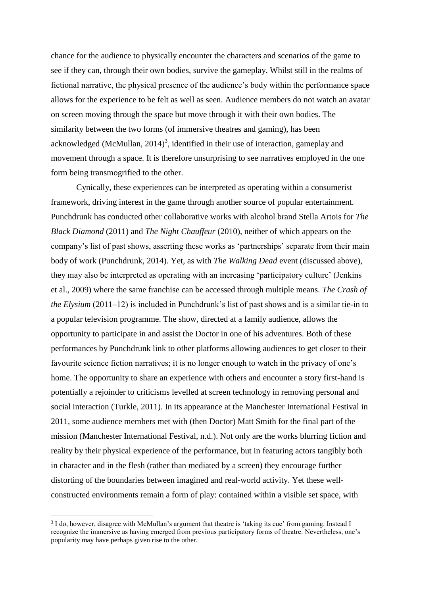chance for the audience to physically encounter the characters and scenarios of the game to see if they can, through their own bodies, survive the gameplay. Whilst still in the realms of fictional narrative, the physical presence of the audience's body within the performance space allows for the experience to be felt as well as seen. Audience members do not watch an avatar on screen moving through the space but move through it with their own bodies. The similarity between the two forms (of immersive theatres and gaming), has been acknowledged (McMullan,  $2014$ )<sup>3</sup>, identified in their use of interaction, gameplay and movement through a space. It is therefore unsurprising to see narratives employed in the one form being transmogrified to the other.

Cynically, these experiences can be interpreted as operating within a consumerist framework, driving interest in the game through another source of popular entertainment. Punchdrunk has conducted other collaborative works with alcohol brand Stella Artois for *The Black Diamond* (2011) and *The Night Chauffeur* (2010), neither of which appears on the company's list of past shows, asserting these works as 'partnerships' separate from their main body of work (Punchdrunk, 2014). Yet, as with *The Walking Dead* event (discussed above), they may also be interpreted as operating with an increasing 'participatory culture' (Jenkins et al., 2009) where the same franchise can be accessed through multiple means. *The Crash of the Elysium* (2011–12) is included in Punchdrunk's list of past shows and is a similar tie-in to a popular television programme. The show, directed at a family audience, allows the opportunity to participate in and assist the Doctor in one of his adventures. Both of these performances by Punchdrunk link to other platforms allowing audiences to get closer to their favourite science fiction narratives; it is no longer enough to watch in the privacy of one's home. The opportunity to share an experience with others and encounter a story first-hand is potentially a rejoinder to criticisms levelled at screen technology in removing personal and social interaction (Turkle, 2011). In its appearance at the Manchester International Festival in 2011, some audience members met with (then Doctor) Matt Smith for the final part of the mission (Manchester International Festival, n.d.). Not only are the works blurring fiction and reality by their physical experience of the performance, but in featuring actors tangibly both in character and in the flesh (rather than mediated by a screen) they encourage further distorting of the boundaries between imagined and real-world activity. Yet these wellconstructed environments remain a form of play: contained within a visible set space, with

1

<sup>&</sup>lt;sup>3</sup> I do, however, disagree with McMullan's argument that theatre is 'taking its cue' from gaming. Instead I recognize the immersive as having emerged from previous participatory forms of theatre. Nevertheless, one's popularity may have perhaps given rise to the other.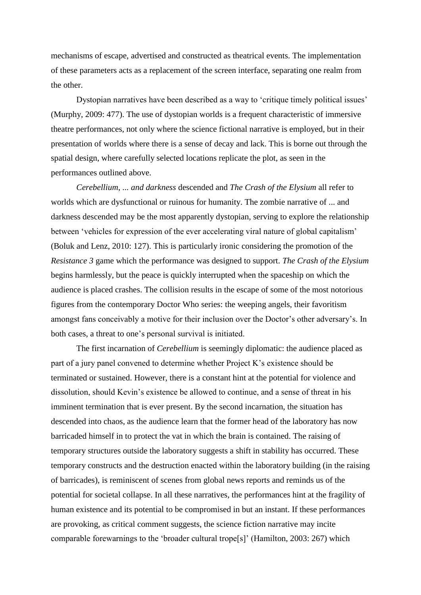mechanisms of escape, advertised and constructed as theatrical events. The implementation of these parameters acts as a replacement of the screen interface, separating one realm from the other.

Dystopian narratives have been described as a way to 'critique timely political issues' (Murphy, 2009: 477). The use of dystopian worlds is a frequent characteristic of immersive theatre performances, not only where the science fictional narrative is employed, but in their presentation of worlds where there is a sense of decay and lack. This is borne out through the spatial design, where carefully selected locations replicate the plot, as seen in the performances outlined above.

*Cerebellium*, *... and darkness* descended and *The Crash of the Elysium* all refer to worlds which are dysfunctional or ruinous for humanity. The zombie narrative of ... and darkness descended may be the most apparently dystopian, serving to explore the relationship between 'vehicles for expression of the ever accelerating viral nature of global capitalism' (Boluk and Lenz, 2010: 127). This is particularly ironic considering the promotion of the *Resistance 3* game which the performance was designed to support. *The Crash of the Elysium* begins harmlessly, but the peace is quickly interrupted when the spaceship on which the audience is placed crashes. The collision results in the escape of some of the most notorious figures from the contemporary Doctor Who series: the weeping angels, their favoritism amongst fans conceivably a motive for their inclusion over the Doctor's other adversary's. In both cases, a threat to one's personal survival is initiated.

The first incarnation of *Cerebellium* is seemingly diplomatic: the audience placed as part of a jury panel convened to determine whether Project K's existence should be terminated or sustained. However, there is a constant hint at the potential for violence and dissolution, should Kevin's existence be allowed to continue, and a sense of threat in his imminent termination that is ever present. By the second incarnation, the situation has descended into chaos, as the audience learn that the former head of the laboratory has now barricaded himself in to protect the vat in which the brain is contained. The raising of temporary structures outside the laboratory suggests a shift in stability has occurred. These temporary constructs and the destruction enacted within the laboratory building (in the raising of barricades), is reminiscent of scenes from global news reports and reminds us of the potential for societal collapse. In all these narratives, the performances hint at the fragility of human existence and its potential to be compromised in but an instant. If these performances are provoking, as critical comment suggests, the science fiction narrative may incite comparable forewarnings to the 'broader cultural trope[s]' (Hamilton, 2003: 267) which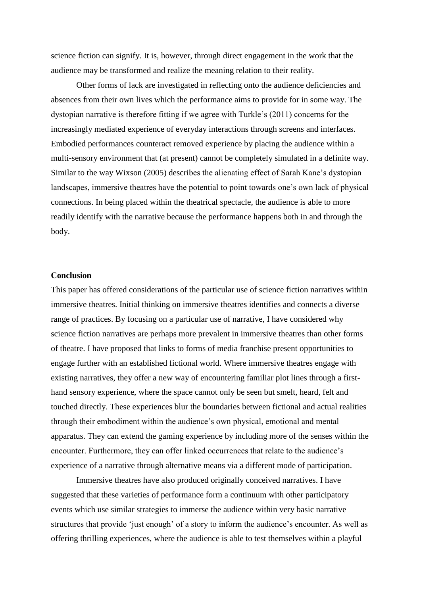science fiction can signify. It is, however, through direct engagement in the work that the audience may be transformed and realize the meaning relation to their reality.

Other forms of lack are investigated in reflecting onto the audience deficiencies and absences from their own lives which the performance aims to provide for in some way. The dystopian narrative is therefore fitting if we agree with Turkle's (2011) concerns for the increasingly mediated experience of everyday interactions through screens and interfaces. Embodied performances counteract removed experience by placing the audience within a multi-sensory environment that (at present) cannot be completely simulated in a definite way. Similar to the way Wixson (2005) describes the alienating effect of Sarah Kane's dystopian landscapes, immersive theatres have the potential to point towards one's own lack of physical connections. In being placed within the theatrical spectacle, the audience is able to more readily identify with the narrative because the performance happens both in and through the body.

# **Conclusion**

This paper has offered considerations of the particular use of science fiction narratives within immersive theatres. Initial thinking on immersive theatres identifies and connects a diverse range of practices. By focusing on a particular use of narrative, I have considered why science fiction narratives are perhaps more prevalent in immersive theatres than other forms of theatre. I have proposed that links to forms of media franchise present opportunities to engage further with an established fictional world. Where immersive theatres engage with existing narratives, they offer a new way of encountering familiar plot lines through a firsthand sensory experience, where the space cannot only be seen but smelt, heard, felt and touched directly. These experiences blur the boundaries between fictional and actual realities through their embodiment within the audience's own physical, emotional and mental apparatus. They can extend the gaming experience by including more of the senses within the encounter. Furthermore, they can offer linked occurrences that relate to the audience's experience of a narrative through alternative means via a different mode of participation.

Immersive theatres have also produced originally conceived narratives. I have suggested that these varieties of performance form a continuum with other participatory events which use similar strategies to immerse the audience within very basic narrative structures that provide 'just enough' of a story to inform the audience's encounter. As well as offering thrilling experiences, where the audience is able to test themselves within a playful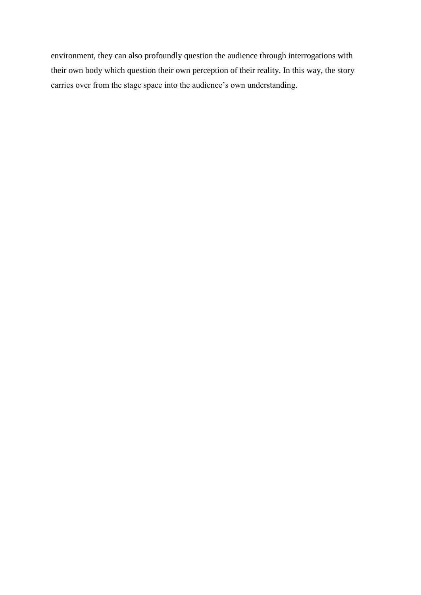environment, they can also profoundly question the audience through interrogations with their own body which question their own perception of their reality. In this way, the story carries over from the stage space into the audience's own understanding.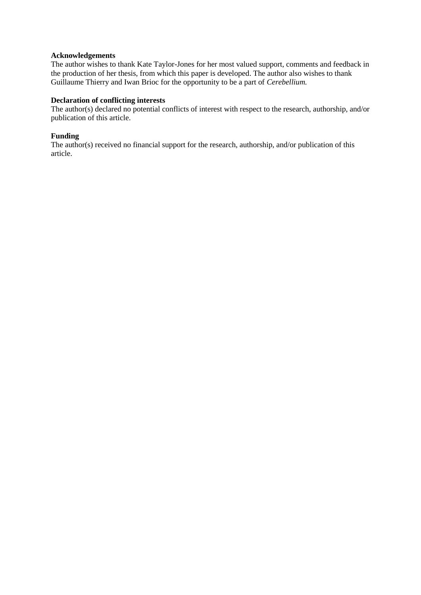#### **Acknowledgements**

The author wishes to thank Kate Taylor-Jones for her most valued support, comments and feedback in the production of her thesis, from which this paper is developed. The author also wishes to thank Guillaume Thierry and Iwan Brioc for the opportunity to be a part of *Cerebellium.*

# **Declaration of conflicting interests**

The author(s) declared no potential conflicts of interest with respect to the research, authorship, and/or publication of this article.

## **Funding**

The author(s) received no financial support for the research, authorship, and/or publication of this article.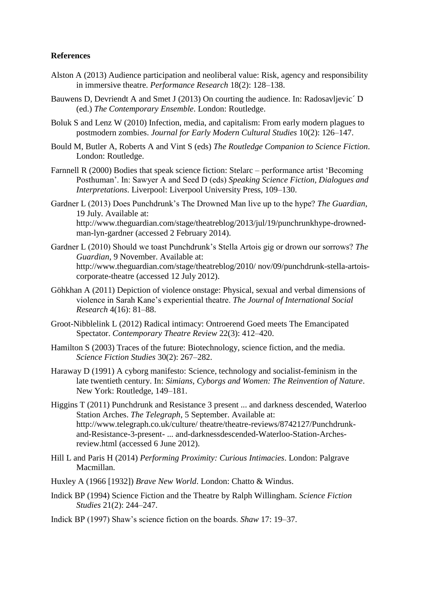# **References**

- Alston A (2013) Audience participation and neoliberal value: Risk, agency and responsibility in immersive theatre. *Performance Research* 18(2): 128–138.
- Bauwens D, Devriendt A and Smet J (2013) On courting the audience. In: Radosavljevic´ D (ed.) *The Contemporary Ensemble*. London: Routledge.
- Boluk S and Lenz W (2010) Infection, media, and capitalism: From early modern plagues to postmodern zombies. *Journal for Early Modern Cultural Studies* 10(2): 126–147.
- Bould M, Butler A, Roberts A and Vint S (eds) *The Routledge Companion to Science Fiction*. London: Routledge.
- Farnnell R (2000) Bodies that speak science fiction: Stelarc performance artist 'Becoming Posthuman'. In: Sawyer A and Seed D (eds) *Speaking Science Fiction, Dialogues and Interpretations*. Liverpool: Liverpool University Press, 109–130.
- Gardner L (2013) Does Punchdrunk's The Drowned Man live up to the hype? *The Guardian*, 19 July. Available at: http://www.theguardian.com/stage/theatreblog/2013/jul/19/punchrunkhype-drownedman-lyn-gardner (accessed 2 February 2014).
- Gardner L (2010) Should we toast Punchdrunk's Stella Artois gig or drown our sorrows? *The Guardian*, 9 November. Available at: http://www.theguardian.com/stage/theatreblog/2010/ nov/09/punchdrunk-stella-artoiscorporate-theatre (accessed 12 July 2012).
- Göhkhan A (2011) Depiction of violence onstage: Physical, sexual and verbal dimensions of violence in Sarah Kane's experiential theatre. *The Journal of International Social Research* 4(16): 81–88.
- Groot-Nibblelink L (2012) Radical intimacy: Ontroerend Goed meets The Emancipated Spectator. *Contemporary Theatre Review* 22(3): 412–420.
- Hamilton S (2003) Traces of the future: Biotechnology, science fiction, and the media. *Science Fiction Studies* 30(2): 267–282.
- Haraway D (1991) A cyborg manifesto: Science, technology and socialist-feminism in the late twentieth century. In: *Simians, Cyborgs and Women: The Reinvention of Nature*. New York: Routledge, 149–181.
- Higgins T (2011) Punchdrunk and Resistance 3 present ... and darkness descended, Waterloo Station Arches. *The Telegraph*, 5 September. Available at: http://www.telegraph.co.uk/culture/ theatre/theatre-reviews/8742127/Punchdrunkand-Resistance-3-present- ... and-darknessdescended-Waterloo-Station-Archesreview.html (accessed 6 June 2012).
- Hill L and Paris H (2014) *Performing Proximity: Curious Intimacies*. London: Palgrave Macmillan.
- Huxley A (1966 [1932]) *Brave New World*. London: Chatto & Windus.
- Indick BP (1994) Science Fiction and the Theatre by Ralph Willingham. *Science Fiction Studies* 21(2): 244–247.
- Indick BP (1997) Shaw's science fiction on the boards. *Shaw* 17: 19–37.